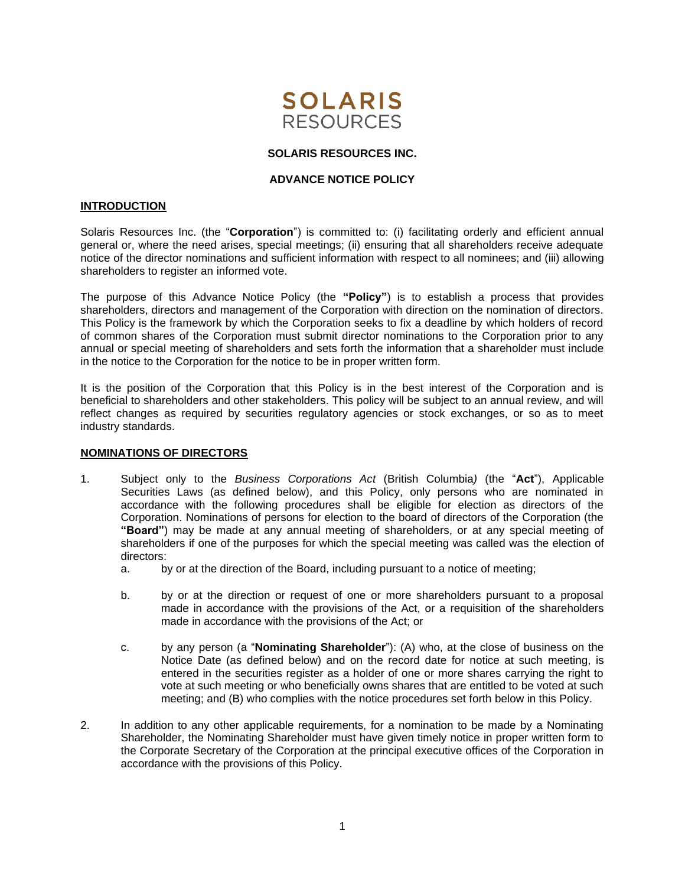

# **SOLARIS RESOURCES INC.**

## **ADVANCE NOTICE POLICY**

### **INTRODUCTION**

Solaris Resources Inc. (the "**Corporation**") is committed to: (i) facilitating orderly and efficient annual general or, where the need arises, special meetings; (ii) ensuring that all shareholders receive adequate notice of the director nominations and sufficient information with respect to all nominees; and (iii) allowing shareholders to register an informed vote.

The purpose of this Advance Notice Policy (the **"Policy"**) is to establish a process that provides shareholders, directors and management of the Corporation with direction on the nomination of directors. This Policy is the framework by which the Corporation seeks to fix a deadline by which holders of record of common shares of the Corporation must submit director nominations to the Corporation prior to any annual or special meeting of shareholders and sets forth the information that a shareholder must include in the notice to the Corporation for the notice to be in proper written form.

It is the position of the Corporation that this Policy is in the best interest of the Corporation and is beneficial to shareholders and other stakeholders. This policy will be subject to an annual review, and will reflect changes as required by securities regulatory agencies or stock exchanges, or so as to meet industry standards.

#### **NOMINATIONS OF DIRECTORS**

- 1. Subject only to the *Business Corporations Act* (British Columbia*)* (the "**Act**"), Applicable Securities Laws (as defined below), and this Policy, only persons who are nominated in accordance with the following procedures shall be eligible for election as directors of the Corporation. Nominations of persons for election to the board of directors of the Corporation (the **"Board"**) may be made at any annual meeting of shareholders, or at any special meeting of shareholders if one of the purposes for which the special meeting was called was the election of directors:
	- a. by or at the direction of the Board, including pursuant to a notice of meeting;
	- b. by or at the direction or request of one or more shareholders pursuant to a proposal made in accordance with the provisions of the Act, or a requisition of the shareholders made in accordance with the provisions of the Act; or
	- c. by any person (a "**Nominating Shareholder**"): (A) who, at the close of business on the Notice Date (as defined below) and on the record date for notice at such meeting, is entered in the securities register as a holder of one or more shares carrying the right to vote at such meeting or who beneficially owns shares that are entitled to be voted at such meeting; and (B) who complies with the notice procedures set forth below in this Policy.
- 2. In addition to any other applicable requirements, for a nomination to be made by a Nominating Shareholder, the Nominating Shareholder must have given timely notice in proper written form to the Corporate Secretary of the Corporation at the principal executive offices of the Corporation in accordance with the provisions of this Policy.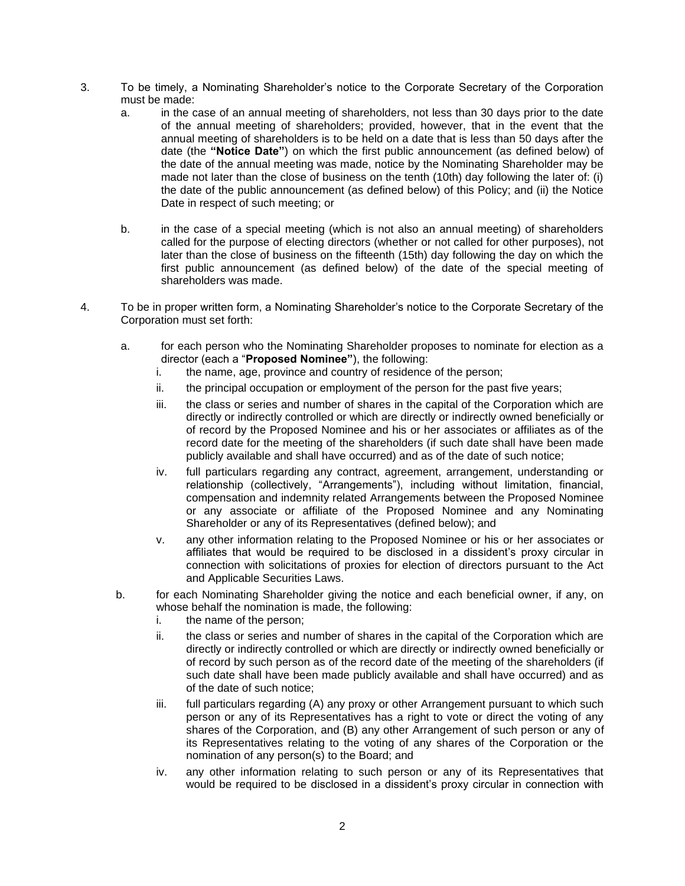- 3. To be timely, a Nominating Shareholder's notice to the Corporate Secretary of the Corporation must be made:
	- a. in the case of an annual meeting of shareholders, not less than 30 days prior to the date of the annual meeting of shareholders; provided, however, that in the event that the annual meeting of shareholders is to be held on a date that is less than 50 days after the date (the **"Notice Date"**) on which the first public announcement (as defined below) of the date of the annual meeting was made, notice by the Nominating Shareholder may be made not later than the close of business on the tenth (10th) day following the later of: (i) the date of the public announcement (as defined below) of this Policy; and (ii) the Notice Date in respect of such meeting; or
	- b. in the case of a special meeting (which is not also an annual meeting) of shareholders called for the purpose of electing directors (whether or not called for other purposes), not later than the close of business on the fifteenth (15th) day following the day on which the first public announcement (as defined below) of the date of the special meeting of shareholders was made.
- 4. To be in proper written form, a Nominating Shareholder's notice to the Corporate Secretary of the Corporation must set forth:
	- a. for each person who the Nominating Shareholder proposes to nominate for election as a director (each a "**Proposed Nominee"**), the following:
		- i. the name, age, province and country of residence of the person;
		- ii. the principal occupation or employment of the person for the past five years;
		- iii. the class or series and number of shares in the capital of the Corporation which are directly or indirectly controlled or which are directly or indirectly owned beneficially or of record by the Proposed Nominee and his or her associates or affiliates as of the record date for the meeting of the shareholders (if such date shall have been made publicly available and shall have occurred) and as of the date of such notice;
		- iv. full particulars regarding any contract, agreement, arrangement, understanding or relationship (collectively, "Arrangements"), including without limitation, financial, compensation and indemnity related Arrangements between the Proposed Nominee or any associate or affiliate of the Proposed Nominee and any Nominating Shareholder or any of its Representatives (defined below); and
		- v. any other information relating to the Proposed Nominee or his or her associates or affiliates that would be required to be disclosed in a dissident's proxy circular in connection with solicitations of proxies for election of directors pursuant to the Act and Applicable Securities Laws.
	- b. for each Nominating Shareholder giving the notice and each beneficial owner, if any, on whose behalf the nomination is made, the following:
		- i. the name of the person;
		- ii. the class or series and number of shares in the capital of the Corporation which are directly or indirectly controlled or which are directly or indirectly owned beneficially or of record by such person as of the record date of the meeting of the shareholders (if such date shall have been made publicly available and shall have occurred) and as of the date of such notice;
		- iii. full particulars regarding (A) any proxy or other Arrangement pursuant to which such person or any of its Representatives has a right to vote or direct the voting of any shares of the Corporation, and (B) any other Arrangement of such person or any of its Representatives relating to the voting of any shares of the Corporation or the nomination of any person(s) to the Board; and
		- iv. any other information relating to such person or any of its Representatives that would be required to be disclosed in a dissident's proxy circular in connection with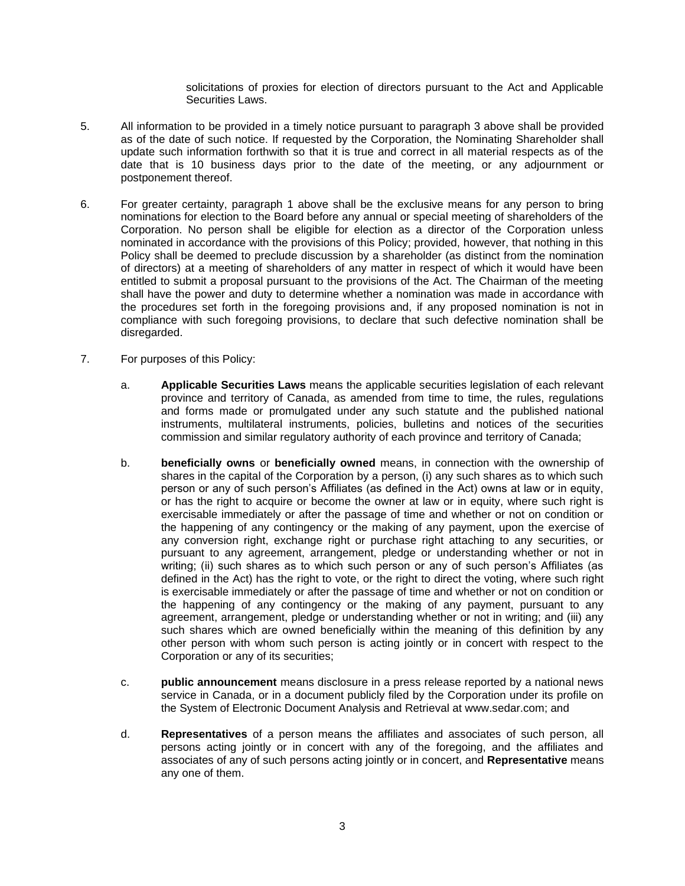solicitations of proxies for election of directors pursuant to the Act and Applicable Securities Laws.

- 5. All information to be provided in a timely notice pursuant to paragraph 3 above shall be provided as of the date of such notice. If requested by the Corporation, the Nominating Shareholder shall update such information forthwith so that it is true and correct in all material respects as of the date that is 10 business days prior to the date of the meeting, or any adjournment or postponement thereof.
- 6. For greater certainty, paragraph 1 above shall be the exclusive means for any person to bring nominations for election to the Board before any annual or special meeting of shareholders of the Corporation. No person shall be eligible for election as a director of the Corporation unless nominated in accordance with the provisions of this Policy; provided, however, that nothing in this Policy shall be deemed to preclude discussion by a shareholder (as distinct from the nomination of directors) at a meeting of shareholders of any matter in respect of which it would have been entitled to submit a proposal pursuant to the provisions of the Act. The Chairman of the meeting shall have the power and duty to determine whether a nomination was made in accordance with the procedures set forth in the foregoing provisions and, if any proposed nomination is not in compliance with such foregoing provisions, to declare that such defective nomination shall be disregarded.
- 7. For purposes of this Policy:
	- a. **Applicable Securities Laws** means the applicable securities legislation of each relevant province and territory of Canada, as amended from time to time, the rules, regulations and forms made or promulgated under any such statute and the published national instruments, multilateral instruments, policies, bulletins and notices of the securities commission and similar regulatory authority of each province and territory of Canada;
	- b. **beneficially owns** or **beneficially owned** means, in connection with the ownership of shares in the capital of the Corporation by a person, (i) any such shares as to which such person or any of such person's Affiliates (as defined in the Act) owns at law or in equity, or has the right to acquire or become the owner at law or in equity, where such right is exercisable immediately or after the passage of time and whether or not on condition or the happening of any contingency or the making of any payment, upon the exercise of any conversion right, exchange right or purchase right attaching to any securities, or pursuant to any agreement, arrangement, pledge or understanding whether or not in writing; (ii) such shares as to which such person or any of such person's Affiliates (as defined in the Act) has the right to vote, or the right to direct the voting, where such right is exercisable immediately or after the passage of time and whether or not on condition or the happening of any contingency or the making of any payment, pursuant to any agreement, arrangement, pledge or understanding whether or not in writing; and (iii) any such shares which are owned beneficially within the meaning of this definition by any other person with whom such person is acting jointly or in concert with respect to the Corporation or any of its securities;
	- c. **public announcement** means disclosure in a press release reported by a national news service in Canada, or in a document publicly filed by the Corporation under its profile on the System of Electronic Document Analysis and Retrieval at www.sedar.com; and
	- d. **Representatives** of a person means the affiliates and associates of such person, all persons acting jointly or in concert with any of the foregoing, and the affiliates and associates of any of such persons acting jointly or in concert, and **Representative** means any one of them.